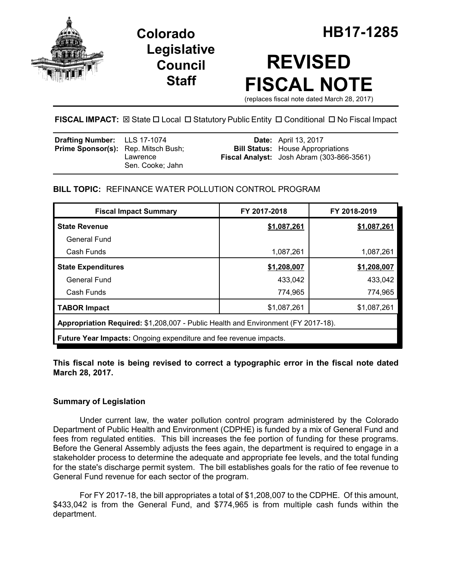

**Legislative Council Staff**

# **REVISED FISCAL NOTE**

(replaces fiscal note dated March 28, 2017)

# **FISCAL IMPACT:**  $\boxtimes$  **State □ Local □ Statutory Public Entity □ Conditional □ No Fiscal Impact**

| <b>Drafting Number:</b> LLS 17-1074<br><b>Prime Sponsor(s):</b> Rep. Mitsch Bush; | Lawrence         | <b>Date:</b> April 13, 2017<br><b>Bill Status:</b> House Appropriations<br>Fiscal Analyst: Josh Abram (303-866-3561) |
|-----------------------------------------------------------------------------------|------------------|----------------------------------------------------------------------------------------------------------------------|
|                                                                                   | Sen. Cooke: Jahn |                                                                                                                      |

# **BILL TOPIC:** REFINANCE WATER POLLUTION CONTROL PROGRAM

| <b>Fiscal Impact Summary</b>                                                      | FY 2017-2018 | FY 2018-2019 |  |  |  |  |
|-----------------------------------------------------------------------------------|--------------|--------------|--|--|--|--|
| <b>State Revenue</b>                                                              | \$1,087,261  | \$1,087,261  |  |  |  |  |
| <b>General Fund</b>                                                               |              |              |  |  |  |  |
| Cash Funds                                                                        | 1,087,261    | 1,087,261    |  |  |  |  |
| <b>State Expenditures</b>                                                         | \$1,208,007  | \$1,208,007  |  |  |  |  |
| <b>General Fund</b>                                                               | 433,042      | 433,042      |  |  |  |  |
| Cash Funds                                                                        | 774,965      | 774,965      |  |  |  |  |
| <b>TABOR Impact</b>                                                               | \$1,087,261  | \$1,087,261  |  |  |  |  |
| Appropriation Required: \$1,208,007 - Public Health and Environment (FY 2017-18). |              |              |  |  |  |  |
| <b>Future Year Impacts:</b> Ongoing expenditure and fee revenue impacts.          |              |              |  |  |  |  |

**This fiscal note is being revised to correct a typographic error in the fiscal note dated March 28, 2017.**

# **Summary of Legislation**

Under current law, the water pollution control program administered by the Colorado Department of Public Health and Environment (CDPHE) is funded by a mix of General Fund and fees from regulated entities. This bill increases the fee portion of funding for these programs. Before the General Assembly adjusts the fees again, the department is required to engage in a stakeholder process to determine the adequate and appropriate fee levels, and the total funding for the state's discharge permit system. The bill establishes goals for the ratio of fee revenue to General Fund revenue for each sector of the program.

For FY 2017-18, the bill appropriates a total of \$1,208,007 to the CDPHE. Of this amount, \$433,042 is from the General Fund, and \$774,965 is from multiple cash funds within the department.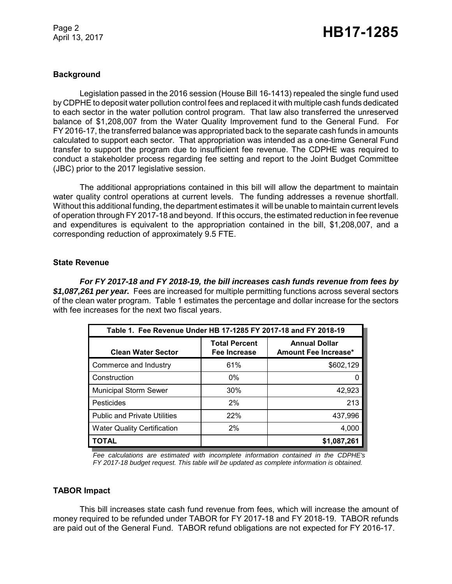Page 2

# Page 2<br>April 13, 2017 **HB17-1285**

#### **Background**

Legislation passed in the 2016 session (House Bill 16-1413) repealed the single fund used by CDPHE to deposit water pollution control fees and replaced it with multiple cash funds dedicated to each sector in the water pollution control program. That law also transferred the unreserved balance of \$1,208,007 from the Water Quality Improvement fund to the General Fund. For FY 2016-17, the transferred balance was appropriated back to the separate cash funds in amounts calculated to support each sector. That appropriation was intended as a one-time General Fund transfer to support the program due to insufficient fee revenue. The CDPHE was required to conduct a stakeholder process regarding fee setting and report to the Joint Budget Committee (JBC) prior to the 2017 legislative session.

The additional appropriations contained in this bill will allow the department to maintain water quality control operations at current levels. The funding addresses a revenue shortfall. Without this additional funding, the department estimates it will be unable to maintain current levels of operation through FY 2017-18 and beyond. If this occurs, the estimated reduction in fee revenue and expenditures is equivalent to the appropriation contained in the bill, \$1,208,007, and a corresponding reduction of approximately 9.5 FTE.

#### **State Revenue**

*For FY 2017-18 and FY 2018-19, the bill increases cash funds revenue from fees by \$1,087,261 per year.* Fees are increased for multiple permitting functions across several sectors of the clean water program. Table 1 estimates the percentage and dollar increase for the sectors with fee increases for the next two fiscal years.

| Table 1. Fee Revenue Under HB 17-1285 FY 2017-18 and FY 2018-19 |                                      |                                              |  |  |  |  |
|-----------------------------------------------------------------|--------------------------------------|----------------------------------------------|--|--|--|--|
| <b>Clean Water Sector</b>                                       | <b>Total Percent</b><br>Fee Increase | <b>Annual Dollar</b><br>Amount Fee Increase* |  |  |  |  |
| Commerce and Industry                                           | 61%                                  | \$602,129                                    |  |  |  |  |
| Construction                                                    | $0\%$                                | 0                                            |  |  |  |  |
| <b>Municipal Storm Sewer</b>                                    | 30%                                  | 42,923                                       |  |  |  |  |
| Pesticides                                                      | 2%                                   | 213                                          |  |  |  |  |
| <b>Public and Private Utilities</b>                             | 22%                                  | 437,996                                      |  |  |  |  |
| <b>Water Quality Certification</b>                              | 2%                                   | 4,000                                        |  |  |  |  |
| <b>TOTAL</b>                                                    |                                      | \$1,087,261                                  |  |  |  |  |

*Fee calculations are estimated with incomplete information contained in the CDPHE's FY 2017-18 budget request. This table will be updated as complete information is obtained.*

#### **TABOR Impact**

This bill increases state cash fund revenue from fees, which will increase the amount of money required to be refunded under TABOR for FY 2017-18 and FY 2018-19. TABOR refunds are paid out of the General Fund. TABOR refund obligations are not expected for FY 2016-17.